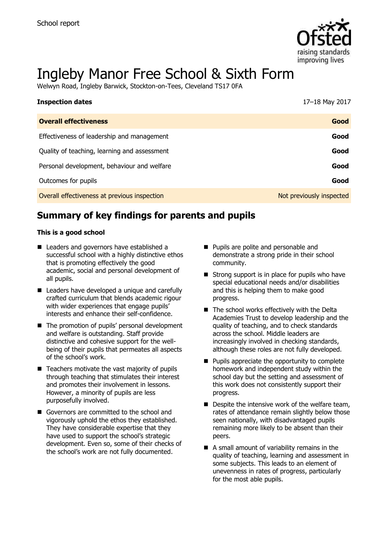

# Ingleby Manor Free School & Sixth Form

Welwyn Road, Ingleby Barwick, Stockton-on-Tees, Cleveland TS17 0FA

| <b>Inspection dates</b>                      | 17-18 May 2017           |
|----------------------------------------------|--------------------------|
| <b>Overall effectiveness</b>                 | Good                     |
| Effectiveness of leadership and management   | Good                     |
| Quality of teaching, learning and assessment | Good                     |
| Personal development, behaviour and welfare  | Good                     |
| Outcomes for pupils                          | Good                     |
| Overall effectiveness at previous inspection | Not previously inspected |

# **Summary of key findings for parents and pupils**

#### **This is a good school**

- Leaders and governors have established a successful school with a highly distinctive ethos that is promoting effectively the good academic, social and personal development of all pupils.
- Leaders have developed a unique and carefully crafted curriculum that blends academic rigour with wider experiences that engage pupils' interests and enhance their self-confidence.
- The promotion of pupils' personal development and welfare is outstanding. Staff provide distinctive and cohesive support for the wellbeing of their pupils that permeates all aspects of the school's work.
- $\blacksquare$  Teachers motivate the vast majority of pupils through teaching that stimulates their interest and promotes their involvement in lessons. However, a minority of pupils are less purposefully involved.
- Governors are committed to the school and vigorously uphold the ethos they established. They have considerable expertise that they have used to support the school's strategic development. Even so, some of their checks of the school's work are not fully documented.
- **Pupils are polite and personable and** demonstrate a strong pride in their school community.
- $\blacksquare$  Strong support is in place for pupils who have special educational needs and/or disabilities and this is helping them to make good progress.
- $\blacksquare$  The school works effectively with the Delta Academies Trust to develop leadership and the quality of teaching, and to check standards across the school. Middle leaders are increasingly involved in checking standards, although these roles are not fully developed.
- $\blacksquare$  Pupils appreciate the opportunity to complete homework and independent study within the school day but the setting and assessment of this work does not consistently support their progress.
- $\blacksquare$  Despite the intensive work of the welfare team, rates of attendance remain slightly below those seen nationally, with disadvantaged pupils remaining more likely to be absent than their peers.
- A small amount of variability remains in the quality of teaching, learning and assessment in some subjects. This leads to an element of unevenness in rates of progress, particularly for the most able pupils.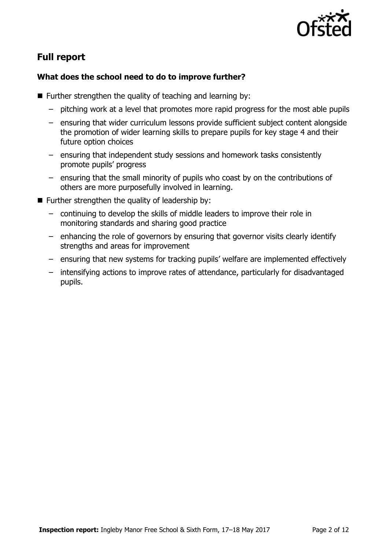

# **Full report**

### **What does the school need to do to improve further?**

- $\blacksquare$  Further strengthen the quality of teaching and learning by:
	- pitching work at a level that promotes more rapid progress for the most able pupils
	- ensuring that wider curriculum lessons provide sufficient subject content alongside the promotion of wider learning skills to prepare pupils for key stage 4 and their future option choices
	- ensuring that independent study sessions and homework tasks consistently promote pupils' progress
	- ensuring that the small minority of pupils who coast by on the contributions of others are more purposefully involved in learning.
- $\blacksquare$  Further strengthen the quality of leadership by:
	- continuing to develop the skills of middle leaders to improve their role in monitoring standards and sharing good practice
	- enhancing the role of governors by ensuring that governor visits clearly identify strengths and areas for improvement
	- ensuring that new systems for tracking pupils' welfare are implemented effectively
	- intensifying actions to improve rates of attendance, particularly for disadvantaged pupils.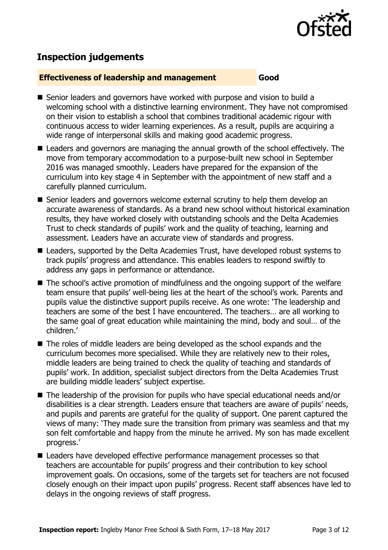

# **Inspection judgements**

#### **Effectiveness of leadership and management Good**

- Senior leaders and governors have worked with purpose and vision to build a welcoming school with a distinctive learning environment. They have not compromised on their vision to establish a school that combines traditional academic rigour with continuous access to wider learning experiences. As a result, pupils are acquiring a wide range of interpersonal skills and making good academic progress.
- Leaders and governors are managing the annual growth of the school effectively. The move from temporary accommodation to a purpose-built new school in September 2016 was managed smoothly. Leaders have prepared for the expansion of the curriculum into key stage 4 in September with the appointment of new staff and a carefully planned curriculum.
- Senior leaders and governors welcome external scrutiny to help them develop an accurate awareness of standards. As a brand new school without historical examination results, they have worked closely with outstanding schools and the Delta Academies Trust to check standards of pupils' work and the quality of teaching, learning and assessment. Leaders have an accurate view of standards and progress.
- Leaders, supported by the Delta Academies Trust, have developed robust systems to track pupils' progress and attendance. This enables leaders to respond swiftly to address any gaps in performance or attendance.
- The school's active promotion of mindfulness and the ongoing support of the welfare team ensure that pupils' well-being lies at the heart of the school's work. Parents and pupils value the distinctive support pupils receive. As one wrote: 'The leadership and teachers are some of the best I have encountered. The teachers… are all working to the same goal of great education while maintaining the mind, body and soul… of the children.'
- The roles of middle leaders are being developed as the school expands and the curriculum becomes more specialised. While they are relatively new to their roles, middle leaders are being trained to check the quality of teaching and standards of pupils' work. In addition, specialist subject directors from the Delta Academies Trust are building middle leaders' subject expertise.
- The leadership of the provision for pupils who have special educational needs and/or disabilities is a clear strength. Leaders ensure that teachers are aware of pupils' needs, and pupils and parents are grateful for the quality of support. One parent captured the views of many: 'They made sure the transition from primary was seamless and that my son felt comfortable and happy from the minute he arrived. My son has made excellent progress.'
- Leaders have developed effective performance management processes so that teachers are accountable for pupils' progress and their contribution to key school improvement goals. On occasions, some of the targets set for teachers are not focused closely enough on their impact upon pupils' progress. Recent staff absences have led to delays in the ongoing reviews of staff progress.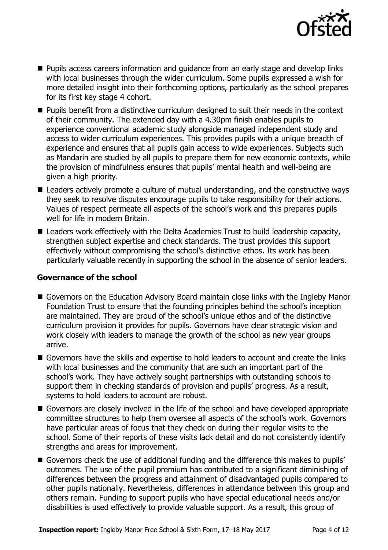

- **Pupils access careers information and guidance from an early stage and develop links** with local businesses through the wider curriculum. Some pupils expressed a wish for more detailed insight into their forthcoming options, particularly as the school prepares for its first key stage 4 cohort.
- **Pupils benefit from a distinctive curriculum designed to suit their needs in the context** of their community. The extended day with a 4.30pm finish enables pupils to experience conventional academic study alongside managed independent study and access to wider curriculum experiences. This provides pupils with a unique breadth of experience and ensures that all pupils gain access to wide experiences. Subjects such as Mandarin are studied by all pupils to prepare them for new economic contexts, while the provision of mindfulness ensures that pupils' mental health and well-being are given a high priority.
- Leaders actively promote a culture of mutual understanding, and the constructive ways they seek to resolve disputes encourage pupils to take responsibility for their actions. Values of respect permeate all aspects of the school's work and this prepares pupils well for life in modern Britain.
- Leaders work effectively with the Delta Academies Trust to build leadership capacity, strengthen subject expertise and check standards. The trust provides this support effectively without compromising the school's distinctive ethos. Its work has been particularly valuable recently in supporting the school in the absence of senior leaders.

#### **Governance of the school**

- Governors on the Education Advisory Board maintain close links with the Ingleby Manor Foundation Trust to ensure that the founding principles behind the school's inception are maintained. They are proud of the school's unique ethos and of the distinctive curriculum provision it provides for pupils. Governors have clear strategic vision and work closely with leaders to manage the growth of the school as new year groups arrive.
- Governors have the skills and expertise to hold leaders to account and create the links with local businesses and the community that are such an important part of the school's work. They have actively sought partnerships with outstanding schools to support them in checking standards of provision and pupils' progress. As a result, systems to hold leaders to account are robust.
- Governors are closely involved in the life of the school and have developed appropriate committee structures to help them oversee all aspects of the school's work. Governors have particular areas of focus that they check on during their regular visits to the school. Some of their reports of these visits lack detail and do not consistently identify strengths and areas for improvement.
- Governors check the use of additional funding and the difference this makes to pupils' outcomes. The use of the pupil premium has contributed to a significant diminishing of differences between the progress and attainment of disadvantaged pupils compared to other pupils nationally. Nevertheless, differences in attendance between this group and others remain. Funding to support pupils who have special educational needs and/or disabilities is used effectively to provide valuable support. As a result, this group of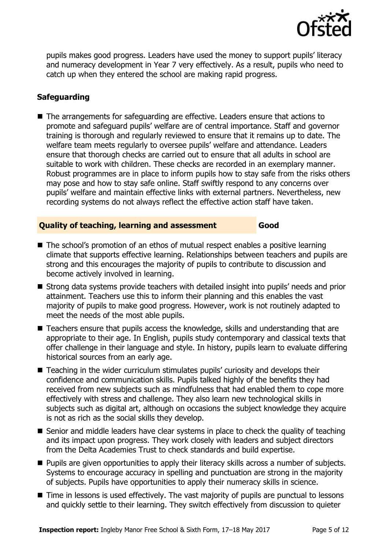

pupils makes good progress. Leaders have used the money to support pupils' literacy and numeracy development in Year 7 very effectively. As a result, pupils who need to catch up when they entered the school are making rapid progress.

### **Safeguarding**

■ The arrangements for safeguarding are effective. Leaders ensure that actions to promote and safeguard pupils' welfare are of central importance. Staff and governor training is thorough and regularly reviewed to ensure that it remains up to date. The welfare team meets regularly to oversee pupils' welfare and attendance. Leaders ensure that thorough checks are carried out to ensure that all adults in school are suitable to work with children. These checks are recorded in an exemplary manner. Robust programmes are in place to inform pupils how to stay safe from the risks others may pose and how to stay safe online. Staff swiftly respond to any concerns over pupils' welfare and maintain effective links with external partners. Nevertheless, new recording systems do not always reflect the effective action staff have taken.

#### **Quality of teaching, learning and assessment Good**

- The school's promotion of an ethos of mutual respect enables a positive learning climate that supports effective learning. Relationships between teachers and pupils are strong and this encourages the majority of pupils to contribute to discussion and become actively involved in learning.
- Strong data systems provide teachers with detailed insight into pupils' needs and prior attainment. Teachers use this to inform their planning and this enables the vast majority of pupils to make good progress. However, work is not routinely adapted to meet the needs of the most able pupils.
- Teachers ensure that pupils access the knowledge, skills and understanding that are appropriate to their age. In English, pupils study contemporary and classical texts that offer challenge in their language and style. In history, pupils learn to evaluate differing historical sources from an early age.
- Teaching in the wider curriculum stimulates pupils' curiosity and develops their confidence and communication skills. Pupils talked highly of the benefits they had received from new subjects such as mindfulness that had enabled them to cope more effectively with stress and challenge. They also learn new technological skills in subjects such as digital art, although on occasions the subject knowledge they acquire is not as rich as the social skills they develop.
- Senior and middle leaders have clear systems in place to check the quality of teaching and its impact upon progress. They work closely with leaders and subject directors from the Delta Academies Trust to check standards and build expertise.
- **Pupils are given opportunities to apply their literacy skills across a number of subjects.** Systems to encourage accuracy in spelling and punctuation are strong in the majority of subjects. Pupils have opportunities to apply their numeracy skills in science.
- Time in lessons is used effectively. The vast majority of pupils are punctual to lessons and quickly settle to their learning. They switch effectively from discussion to quieter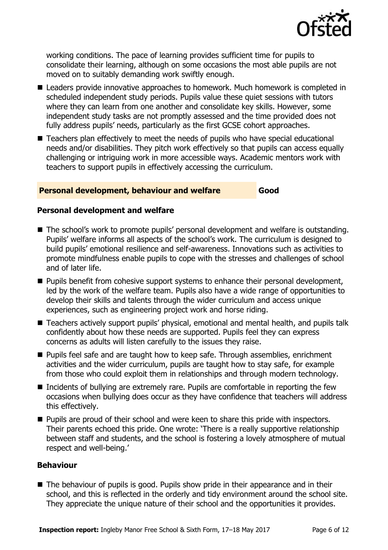

working conditions. The pace of learning provides sufficient time for pupils to consolidate their learning, although on some occasions the most able pupils are not moved on to suitably demanding work swiftly enough.

- Leaders provide innovative approaches to homework. Much homework is completed in scheduled independent study periods. Pupils value these quiet sessions with tutors where they can learn from one another and consolidate key skills. However, some independent study tasks are not promptly assessed and the time provided does not fully address pupils' needs, particularly as the first GCSE cohort approaches.
- Teachers plan effectively to meet the needs of pupils who have special educational needs and/or disabilities. They pitch work effectively so that pupils can access equally challenging or intriguing work in more accessible ways. Academic mentors work with teachers to support pupils in effectively accessing the curriculum.

#### **Personal development, behaviour and welfare Good**

#### **Personal development and welfare**

- The school's work to promote pupils' personal development and welfare is outstanding. Pupils' welfare informs all aspects of the school's work. The curriculum is designed to build pupils' emotional resilience and self-awareness. Innovations such as activities to promote mindfulness enable pupils to cope with the stresses and challenges of school and of later life.
- **Pupils benefit from cohesive support systems to enhance their personal development,** led by the work of the welfare team. Pupils also have a wide range of opportunities to develop their skills and talents through the wider curriculum and access unique experiences, such as engineering project work and horse riding.
- Teachers actively support pupils' physical, emotional and mental health, and pupils talk confidently about how these needs are supported. Pupils feel they can express concerns as adults will listen carefully to the issues they raise.
- **Pupils feel safe and are taught how to keep safe. Through assemblies, enrichment** activities and the wider curriculum, pupils are taught how to stay safe, for example from those who could exploit them in relationships and through modern technology.
- Incidents of bullying are extremely rare. Pupils are comfortable in reporting the few occasions when bullying does occur as they have confidence that teachers will address this effectively.
- Pupils are proud of their school and were keen to share this pride with inspectors. Their parents echoed this pride. One wrote: 'There is a really supportive relationship between staff and students, and the school is fostering a lovely atmosphere of mutual respect and well-being.'

#### **Behaviour**

■ The behaviour of pupils is good. Pupils show pride in their appearance and in their school, and this is reflected in the orderly and tidy environment around the school site. They appreciate the unique nature of their school and the opportunities it provides.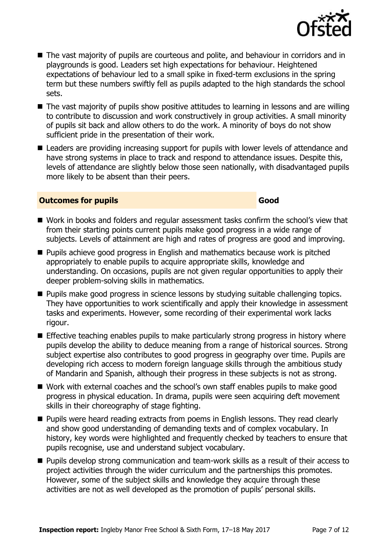

- The vast majority of pupils are courteous and polite, and behaviour in corridors and in playgrounds is good. Leaders set high expectations for behaviour. Heightened expectations of behaviour led to a small spike in fixed-term exclusions in the spring term but these numbers swiftly fell as pupils adapted to the high standards the school sets.
- The vast majority of pupils show positive attitudes to learning in lessons and are willing to contribute to discussion and work constructively in group activities. A small minority of pupils sit back and allow others to do the work. A minority of boys do not show sufficient pride in the presentation of their work.
- Leaders are providing increasing support for pupils with lower levels of attendance and have strong systems in place to track and respond to attendance issues. Despite this, levels of attendance are slightly below those seen nationally, with disadvantaged pupils more likely to be absent than their peers.

#### **Outcomes for pupils Good**

- Work in books and folders and regular assessment tasks confirm the school's view that from their starting points current pupils make good progress in a wide range of subjects. Levels of attainment are high and rates of progress are good and improving.
- **Pupils achieve good progress in English and mathematics because work is pitched** appropriately to enable pupils to acquire appropriate skills, knowledge and understanding. On occasions, pupils are not given regular opportunities to apply their deeper problem-solving skills in mathematics.
- **Pupils make good progress in science lessons by studying suitable challenging topics.** They have opportunities to work scientifically and apply their knowledge in assessment tasks and experiments. However, some recording of their experimental work lacks rigour.
- **Effective teaching enables pupils to make particularly strong progress in history where** pupils develop the ability to deduce meaning from a range of historical sources. Strong subject expertise also contributes to good progress in geography over time. Pupils are developing rich access to modern foreign language skills through the ambitious study of Mandarin and Spanish, although their progress in these subjects is not as strong.
- Work with external coaches and the school's own staff enables pupils to make good progress in physical education. In drama, pupils were seen acquiring deft movement skills in their choreography of stage fighting.
- **Pupils were heard reading extracts from poems in English lessons. They read clearly** and show good understanding of demanding texts and of complex vocabulary. In history, key words were highlighted and frequently checked by teachers to ensure that pupils recognise, use and understand subject vocabulary.
- **Pupils develop strong communication and team-work skills as a result of their access to** project activities through the wider curriculum and the partnerships this promotes. However, some of the subject skills and knowledge they acquire through these activities are not as well developed as the promotion of pupils' personal skills.

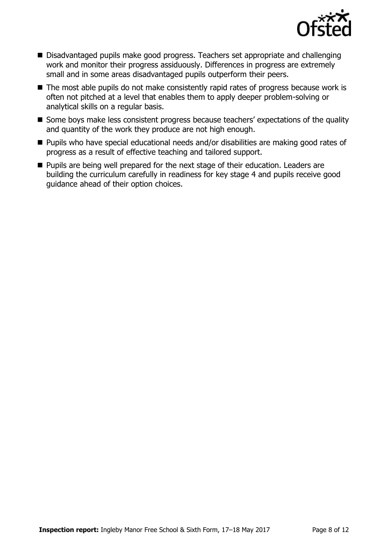

- Disadvantaged pupils make good progress. Teachers set appropriate and challenging work and monitor their progress assiduously. Differences in progress are extremely small and in some areas disadvantaged pupils outperform their peers.
- The most able pupils do not make consistently rapid rates of progress because work is often not pitched at a level that enables them to apply deeper problem-solving or analytical skills on a regular basis.
- Some boys make less consistent progress because teachers' expectations of the quality and quantity of the work they produce are not high enough.
- Pupils who have special educational needs and/or disabilities are making good rates of progress as a result of effective teaching and tailored support.
- **Pupils are being well prepared for the next stage of their education. Leaders are** building the curriculum carefully in readiness for key stage 4 and pupils receive good guidance ahead of their option choices.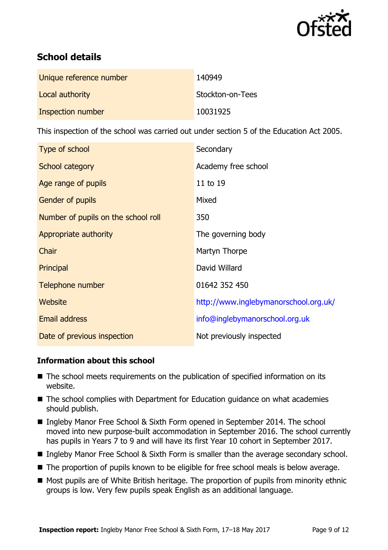

# **School details**

| Unique reference number | 140949           |
|-------------------------|------------------|
| Local authority         | Stockton-on-Tees |
| Inspection number       | 10031925         |

This inspection of the school was carried out under section 5 of the Education Act 2005.

| Type of school                      | Secondary                             |
|-------------------------------------|---------------------------------------|
| School category                     | Academy free school                   |
| Age range of pupils                 | 11 to 19                              |
| Gender of pupils                    | Mixed                                 |
| Number of pupils on the school roll | 350                                   |
| Appropriate authority               | The governing body                    |
| Chair                               | Martyn Thorpe                         |
| Principal                           | David Willard                         |
| Telephone number                    | 01642 352 450                         |
| <b>Website</b>                      | http://www.inglebymanorschool.org.uk/ |
| <b>Email address</b>                | info@inglebymanorschool.org.uk        |
| Date of previous inspection         | Not previously inspected              |

#### **Information about this school**

- The school meets requirements on the publication of specified information on its website.
- The school complies with Department for Education guidance on what academies should publish.
- Ingleby Manor Free School & Sixth Form opened in September 2014. The school moved into new purpose-built accommodation in September 2016. The school currently has pupils in Years 7 to 9 and will have its first Year 10 cohort in September 2017.
- Ingleby Manor Free School & Sixth Form is smaller than the average secondary school.
- The proportion of pupils known to be eligible for free school meals is below average.
- Most pupils are of White British heritage. The proportion of pupils from minority ethnic groups is low. Very few pupils speak English as an additional language.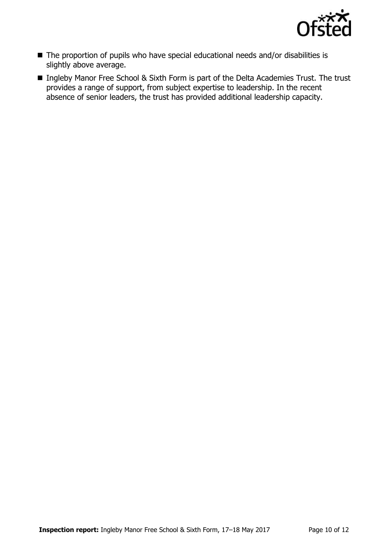

- The proportion of pupils who have special educational needs and/or disabilities is slightly above average.
- Ingleby Manor Free School & Sixth Form is part of the Delta Academies Trust. The trust provides a range of support, from subject expertise to leadership. In the recent absence of senior leaders, the trust has provided additional leadership capacity.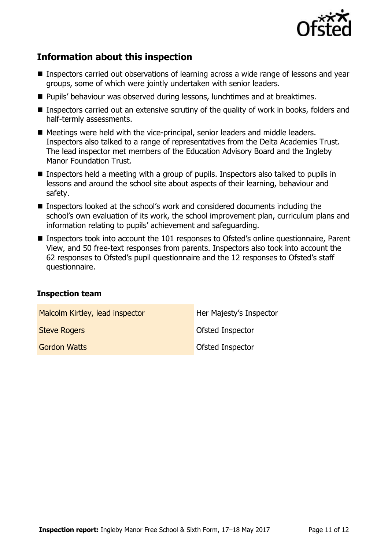

# **Information about this inspection**

- Inspectors carried out observations of learning across a wide range of lessons and year groups, some of which were jointly undertaken with senior leaders.
- **Pupils' behaviour was observed during lessons, lunchtimes and at breaktimes.**
- **Inspectors carried out an extensive scrutiny of the quality of work in books, folders and** half-termly assessments.
- Meetings were held with the vice-principal, senior leaders and middle leaders. Inspectors also talked to a range of representatives from the Delta Academies Trust. The lead inspector met members of the Education Advisory Board and the Ingleby Manor Foundation Trust.
- Inspectors held a meeting with a group of pupils. Inspectors also talked to pupils in lessons and around the school site about aspects of their learning, behaviour and safety.
- Inspectors looked at the school's work and considered documents including the school's own evaluation of its work, the school improvement plan, curriculum plans and information relating to pupils' achievement and safeguarding.
- Inspectors took into account the 101 responses to Ofsted's online questionnaire, Parent View, and 50 free-text responses from parents. Inspectors also took into account the 62 responses to Ofsted's pupil questionnaire and the 12 responses to Ofsted's staff questionnaire.

#### **Inspection team**

| Malcolm Kirtley, lead inspector | Her Majesty's Inspector |
|---------------------------------|-------------------------|
| <b>Steve Rogers</b>             | Ofsted Inspector        |
| <b>Gordon Watts</b>             | Ofsted Inspector        |